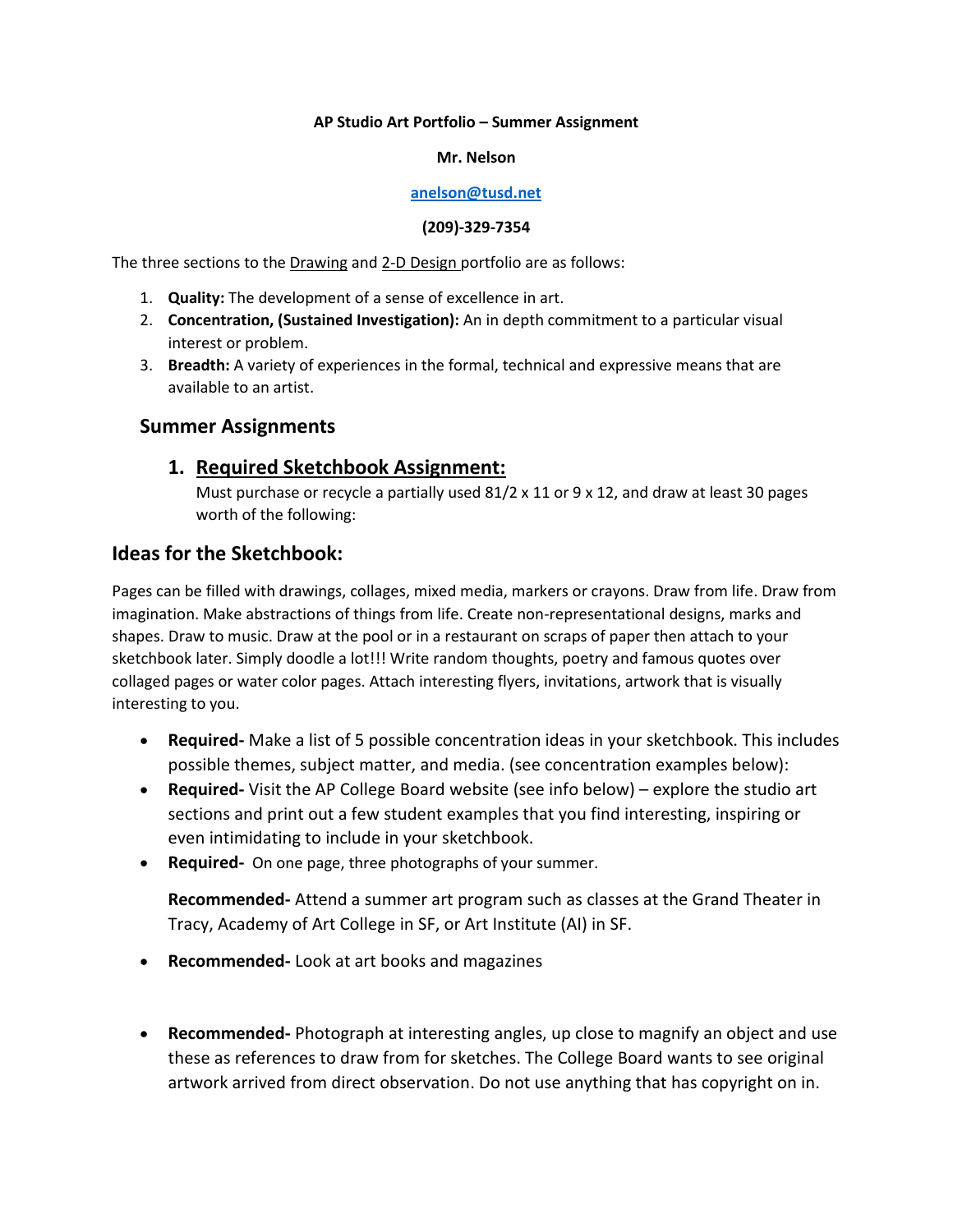### **AP Studio Art Portfolio – Summer Assignment**

#### **Mr. Nelson**

### **[anelson@tusd.net](mailto:anelson@tusd.net)**

#### **(209)-329-7354**

The three sections to the Drawing and 2-D Design portfolio are as follows:

- 1. **Quality:** The development of a sense of excellence in art.
- 2. **Concentration, (Sustained Investigation):** An in depth commitment to a particular visual interest or problem.
- 3. **Breadth:** A variety of experiences in the formal, technical and expressive means that are available to an artist.

# **Summer Assignments**

### **1. Required Sketchbook Assignment:**

Must purchase or recycle a partially used  $81/2 \times 11$  or 9 x 12, and draw at least 30 pages worth of the following:

# **Ideas for the Sketchbook:**

Pages can be filled with drawings, collages, mixed media, markers or crayons. Draw from life. Draw from imagination. Make abstractions of things from life. Create non-representational designs, marks and shapes. Draw to music. Draw at the pool or in a restaurant on scraps of paper then attach to your sketchbook later. Simply doodle a lot!!! Write random thoughts, poetry and famous quotes over collaged pages or water color pages. Attach interesting flyers, invitations, artwork that is visually interesting to you.

- **Required-** Make a list of 5 possible concentration ideas in your sketchbook. This includes possible themes, subject matter, and media. (see concentration examples below):
- **Required-** Visit the AP College Board website (see info below) explore the studio art sections and print out a few student examples that you find interesting, inspiring or even intimidating to include in your sketchbook.
- **Required-** On one page, three photographs of your summer.

**Recommended-** Attend a summer art program such as classes at the Grand Theater in Tracy, Academy of Art College in SF, or Art Institute (AI) in SF.

- **Recommended-** Look at art books and magazines
- **Recommended-** Photograph at interesting angles, up close to magnify an object and use these as references to draw from for sketches. The College Board wants to see original artwork arrived from direct observation. Do not use anything that has copyright on in.